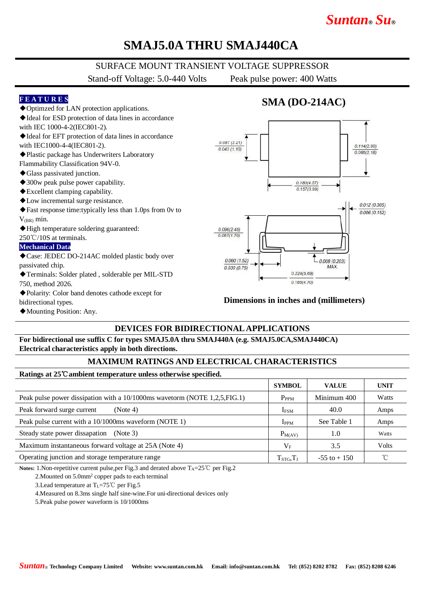# *Suntan***®** *Su***®**

# **SMAJ5.0A THRU SMAJ440CA**

### SURFACE MOUNT TRANSIENT VOLTAGE SUPPRESSOR

Stand-off Voltage: 5.0-440 Volts Peak pulse power: 400 Watts

#### **F E A T U R E S**

- ◆Optimzed for LAN protection applications.
- ◆Ideal for ESD protection of data lines in accordance
- with IEC 1000-4-2(IEC801-2).
- ◆Ideal for EFT protection of data lines in accordance with IEC1000-4-4(IEC801-2).
- ◆Plastic package has Underwriters Laboratory

Flammability Classification 94V-0.

- ◆Glass passivated junction.
- ◆300w peak pulse power capability.
- ◆Excellent clamping capability.
- ◆Low incremental surge resistance.
- ◆Fast response time:typically less than 1.0ps from 0v to  $V_{(BR)}$  min.
- ◆High temperature soldering guaranteed:
- 250℃/10S at terminals.

#### **Mechanical Data**

◆Case: JEDEC DO-214AC molded plastic body over passivated chip.

- ◆Terminals: Solder plated , solderable per MIL-STD 750, method 2026.
- 
- ◆Polarity: Color band denotes cathode except for bidirectional types.
- ◆Mounting Position: Any.

### **SMA (DO-214AC)**



#### **Dimensions in inches and (millimeters)**

### **DEVICES FOR BIDIRECTIONAL APPLICATIONS**

**For bidirectional use suffix C for types SMAJ5.0A thru SMAJ440A (e.g. SMAJ5.0CA,SMAJ440CA) Electrical characteristics apply in both directions.**

### **MAXIMUM RATINGS AND ELECTRICAL CHARACTERISTICS**

#### **Ratings at 25**℃**ambient temperature unless otherwise specified.**

|                                                                            | <b>SYMBOL</b>    | <b>VALUE</b>    | <b>UNIT</b>  |
|----------------------------------------------------------------------------|------------------|-----------------|--------------|
| Peak pulse power dissipation with a 10/1000ms wavetorm (NOTE 1,2,5, FIG.1) | $P_{PPM}$        | Minimum 400     | Watts        |
| Peak forward surge current<br>(Note 4)                                     | I <sub>FSM</sub> | 40.0            | Amps         |
| Peak pulse current with a 10/1000ms waveform (NOTE 1)                      | $_{\rm IPPM}$    | See Table 1     | Amps         |
| Steady state power dissapation<br>(Note 3)                                 | $P_{M(AV)}$      | 1.0             | Watts        |
| Maximum instantaneous forward voltage at 25A (Note 4)                      | $V_{\rm F}$      | 3.5             | <b>Volts</b> |
| Operating junction and storage temperature range                           | $T_{STG}, T_J$   | $-55$ to $+150$ |              |

Notes: 1.Non-repetitive current pulse,per Fig.3 and derated above T<sub>A</sub>=25℃ per Fig.2

2.Mounted on 5.0mm<sup>2</sup> copper pads to each terminal

3. Lead temperature at  $T_L = 75^{\circ}$ C per Fig. 5

4.Measured on 8.3ms single half sine-wine.For uni-directional devices only

5.Peak pulse power waveform is 10/1000ms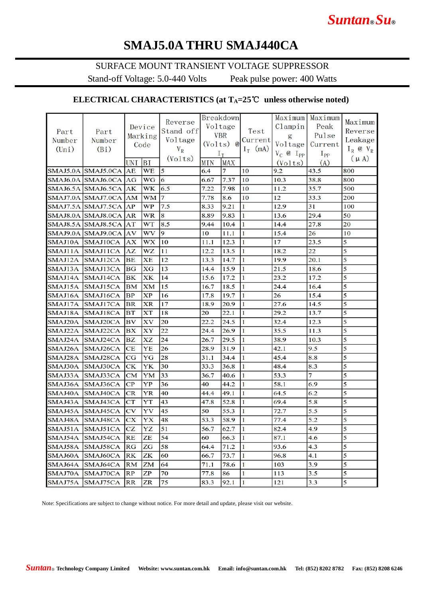# **SMAJ5.0A THRU SMAJ440CA**

### SURFACE MOUNT TRANSIENT VOLTAGE SUPPRESSOR

Stand-off Voltage: 5.0-440 Volts Peak pulse power: 400 Watts

### **ELECTRICAL CHARACTERISTICS (at TA=25**℃ **unless otherwise noted)**

|                |                       |            |           |                |            | <b>Breakdown</b> |              |                  | Maximum Maximum |                         |
|----------------|-----------------------|------------|-----------|----------------|------------|------------------|--------------|------------------|-----------------|-------------------------|
|                |                       |            | Device    | Reverse        |            | Voltage          |              | Clampin          | Peak            | Maximum                 |
| Part           | Part                  |            | Marking   | Stand off      |            | <b>VBR</b>       | Test         | g                | Pulse           | Reverse                 |
| Number         | Number                |            | Code      | Voltage        |            | $(Volts)$ $@$    | Current      | Voltage          | Current         | Leakage                 |
| $(\text{Uni})$ | (Bi)                  |            |           | $V_R$          | $I_T$      |                  | $I_T$ (mA)   | $V_C$ @ $I_{PP}$ | $I_{PP}$        | $I_R$ @ $V_R$           |
|                |                       | <b>UNI</b> | BI        | (Volts)        | <b>MIN</b> | <b>MAX</b>       |              | (Volts)          | (A)             | $(\mu A)$               |
|                | SMAJ5.0A SMAJ5.0CA AE |            | <b>WE</b> | 5              | 6.4        | $\overline{7}$   | 10           | 9.2              | 43.5            | 800                     |
|                | SMAJ6.0A SMAJ6.0CA AG |            | WG        | 6              | 6.67       | 7.37             | 10           | 10.3             | 38.8            | 800                     |
|                | SMAJ6.5A SMAJ6.5CA AK |            | <b>WK</b> | 6.5            | 7.22       | 7.98             | 10           | 11.2             | 35.7            | 500                     |
|                | SMAJ7.0A SMAJ7.0CA AM |            | <b>WM</b> | 17             | 7.78       | 8.6              | 10           | 12               | 33.3            | 200                     |
|                | SMAJ7.5A SMAJ7.5CA AP |            | <b>WP</b> | 7.5            | 8.33       | 9.21             | 1            | 12.9             | 31              | 100                     |
|                | SMAJ8.0A SMAJ8.0CA AR |            | <b>WR</b> | 8              | 8.89       | 9.83             | 1            | 13.6             | 29.4            | 50                      |
|                | SMAJ8.5A SMAJ8.5CA AT |            | <b>WT</b> | 8.5            | 9.44       | 10.4             | 1            | 14.4             | 27.8            | 20                      |
|                | SMAJ9.0A SMAJ9.0CA AV |            | <b>WV</b> | $\overline{9}$ | 10         | 11.1             | 1            | 15.4             | 26              | 10                      |
|                | SMAJ10A SMAJ10CA      | <b>AX</b>  | <b>WX</b> | $ 10\rangle$   | 11.1       | 12.3             | 1            | 17               | 23.5            | $\overline{5}$          |
| SMAJ11A        | SMAJ11CA              | AZ         | <b>WZ</b> | 11             | 12.2       | 13.5             | 1            | 18.2             | 22              | 5                       |
|                | SMAJ12A SMAJ12CA      | BE         | <b>XE</b> | 12             | 13.3       | 14.7             | l1           | 19.9             | 20.1            | 5                       |
|                | SMAJ13A SMAJ13CA      | <b>BG</b>  | XG        | 13             | 14.4       | 15.9             | 1            | 21.5             | 18.6            | 5                       |
|                | SMAJ14A SMAJ14CA      | <b>BK</b>  | XK        | 14             | 15.6       | 17.2             | $\mathbf{1}$ | 23.2             | 17.2            | 5                       |
|                | SMAJ15A SMAJ15CA      | <b>BM</b>  | <b>XM</b> | 15             | 16.7       | 18.5             | $\mathbf{1}$ | 24.4             | 16.4            | 5                       |
|                | SMAJ16A SMAJ16CA      | <b>BP</b>  | <b>XP</b> | 16             | 17.8       | 19.7             | 1            | 26               | 15.4            | 5                       |
|                | SMAJ17A SMAJ17CA      | <b>BR</b>  | <b>XR</b> | 17             | 18.9       | 20.9             | 1            | 27.6             | 14.5            | 5                       |
|                | SMAJ18A SMAJ18CA      | <b>BT</b>  | <b>XT</b> | 18             | 20         | 22.1             | 1            | 29.2             | 13.7            | 5                       |
|                | SMAJ20A SMAJ20CA      | <b>BV</b>  | XV        | 20             | 22.2       | 24.5             | 1            | 32.4             | 12.3            | 5                       |
| SMAJ22A        | SMAJ22CA              | <b>BX</b>  | XY        | 22             | 24.4       | 26.9             | 1            | 35.5             | 11.3            | 5                       |
| SMAJ24A        | SMAJ24CA              | <b>BZ</b>  | <b>XZ</b> | 24             | 26.7       | 29.5             | 1            | 38.9             | 10.3            | 5                       |
|                | SMAJ26A SMAJ26CA      | <b>CE</b>  | YE        | 26             | 28.9       | 31.9             | l 1          | 42.1             | 9.5             | 5                       |
| SMAJ28A        | SMAJ28CA              | CG         | YG        | 28             | 31.1       | 34.4             | 1            | 45.4             | 8.8             | 5                       |
|                | SMAJ30A SMAJ30CA      | CK         | YK        | 30             | 33.3       | 36.8             | 1            | 48.4             | 8.3             | 5                       |
| SMAJ33A        | SMAJ33CA              | CM         | YM        | 33             | 36.7       | 40.6             | $\mathbf{1}$ | 53.3             | $\overline{7}$  | 5                       |
|                | SMAJ36A SMAJ36CA      | CP         | YP        | 36             | 40         | 44.2             | $\mathbf{1}$ | 58.1             | 6.9             | 5                       |
|                | SMAJ40A SMAJ40CA      | CR         | <b>YR</b> | 40             | 44.4       | 49.1             | $\mathbf{1}$ | 64.5             | 6.2             | 5                       |
|                | SMAJ43A SMAJ43CA      | <b>CT</b>  | YT        | 43             | 47.8       | 52.8             | 1            | 69.4             | 5.8             | 5                       |
|                | SMAJ45A SMAJ45CA      | CV         | YV        | 45             | 50         | 55.3             | 1            | 72.7             | 5.5             | 5                       |
|                | SMAJ48A SMAJ48CA      | C X        | YX        | 48             | 53.3       | 58.9             | 1            | 77.4             | 5.2             | 5                       |
|                | SMAJ51A SMAJ51CA CZ   |            | <b>YZ</b> | $\vert$ 51     | 56.7       | 62.7             | <sup>1</sup> | 82.4             | 4.9             | 5                       |
|                | SMAJ54A SMAJ54CA      | <b>RE</b>  | ZE        | 54             | 60         | 66.3             | <sup>1</sup> | 87.1             | 4.6             | 5                       |
| SMAJ58A        | SMAJ58CA              | RG         | ZG        | 58             | 64.4       | 71.2             | 1            | 93.6             | 4.3             | 5                       |
| SMAJ60A        | SMAJ60CA              | <b>RK</b>  | ZK        | 60             | 66.7       | 73.7             | 1            | 96.8             | 4.1             | 5                       |
| SMAJ64A        | SMAJ64CA              | RM         | ZM        | 64             | 71.1       | 78.6             | $\bf{1}$     | 103              | 3.9             | 5                       |
| SMAJ70A        | SMAJ70CA              | RP         | ZP        | 70             | 77.8       | 86               | $\mathbf{1}$ | 113              | 3.5             | $\overline{\mathbf{5}}$ |
|                | SMAJ75A SMAJ75CA      | <b>RR</b>  | <b>ZR</b> | 75             | 83.3       | 92.1             | $\vert$ 1    | 121              | 3.3             | $\overline{5}$          |

Note: Specifications are subject to change without notice. For more detail and update, please visit our website.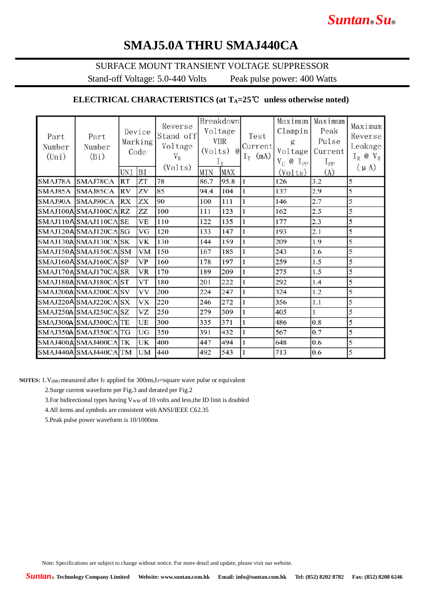# **SMAJ5.0A THRU SMAJ440CA**

### SURFACE MOUNT TRANSIENT VOLTAGE SUPPRESSOR

Stand-off Voltage: 5.0-440 Volts Peak pulse power: 400 Watts

### **ELECTRICAL CHARACTERISTICS (at TA=25**℃ **unless otherwise noted)**

| Part<br>Number<br>$(\text{Uni})$ | Part<br>Number<br>(Bi) | UNI       | Device<br>Marking<br>Code<br><b>BI</b> | Reverse<br>Stand off<br>Voltage<br>$V_R$<br>(Volts) | (Volts)<br><b>MIN</b> | <b>Breakdown</b><br>Voltage<br><b>VBR</b><br>$\omega$<br>$1_{\rm T}$<br><b>MAX</b> | Test<br>Current<br>$I_T$ (mA) | Maximum<br>Clampin<br>g<br>Voltage<br>$V_C$ @<br>$I_{PP}$<br>(Volts) | Maximum<br>Peak<br>Pulse<br>Current<br>$I_{PP}$<br>(A) | Maximum<br>Reverse<br>Leakage<br>$I_R$ @ $V_R$<br>$(\mu A)$ |
|----------------------------------|------------------------|-----------|----------------------------------------|-----------------------------------------------------|-----------------------|------------------------------------------------------------------------------------|-------------------------------|----------------------------------------------------------------------|--------------------------------------------------------|-------------------------------------------------------------|
| SMAJ78A                          | SMAJ78CA               | <b>RT</b> | ZT                                     | 78                                                  | 86.7                  | 95.8                                                                               | $\mathbf{1}$                  | 126                                                                  | 3.2                                                    | 5                                                           |
|                                  | SMAJ85A SMAJ85CA       | <b>RV</b> | ZV                                     | 85                                                  | 94.4                  | 104                                                                                | $\mathbf{1}$                  | 137                                                                  | 2.9                                                    | 5                                                           |
| SMAJ90A                          | SMAJ90CA               | <b>RX</b> | ZX                                     | 90                                                  | 100                   | 111                                                                                | $\mathbf{1}$                  | 146                                                                  | 2.7                                                    | 5                                                           |
|                                  | SMAJ100A SMAJ100CA RZ  |           | <b>ZZ</b>                              | 100                                                 | 111                   | 123                                                                                | $\mathbf{1}$                  | 162                                                                  | 2.5                                                    | 5                                                           |
|                                  | SMAJ110A SMAJ110CA SE  |           | <b>VE</b>                              | 110                                                 | 122                   | 135                                                                                | $\mathbf{1}$                  | 177                                                                  | 2.3                                                    | 5                                                           |
|                                  | SMAJ120A SMAJ120CA SG  |           | <b>VG</b>                              | 120                                                 | 133                   | 147                                                                                | $\mathbf{1}$                  | 193                                                                  | 2.1                                                    | 5                                                           |
|                                  | SMAJ130A SMAJ130CA SK  |           | <b>VK</b>                              | 130                                                 | 144                   | 159                                                                                | $\mathbf{1}$                  | 209                                                                  | 1.9                                                    | 5                                                           |
|                                  | SMAJ150ASMAJ150CASM    |           | <b>VM</b>                              | 150                                                 | 167                   | 185                                                                                | $\mathbf{1}$                  | 243                                                                  | 1.6                                                    | 5                                                           |
|                                  | SMAJ160ASMAJ160CASP    |           | <b>VP</b>                              | 160                                                 | 178                   | 197                                                                                | $\mathbf{1}$                  | 259                                                                  | 1.5                                                    | 5                                                           |
|                                  | SMAJ170ASMAJ170CASR    |           | <b>VR</b>                              | 170                                                 | 189                   | 209                                                                                | $\mathbf{1}$                  | 275                                                                  | 1.5                                                    | 5                                                           |
|                                  | SMAJ180ASMAJ180CAST    |           | <b>VT</b>                              | 180                                                 | 201                   | 222                                                                                | $\mathbf{1}$                  | 292                                                                  | 1.4                                                    | 5                                                           |
|                                  | SMAJ200A SMAJ200CA SV  |           | <b>VV</b>                              | 200                                                 | 224                   | 247                                                                                | $\mathbf{1}$                  | 324                                                                  | 1.2                                                    | 5                                                           |
|                                  | SMAJ220A SMAJ220CA SX  |           | <b>VX</b>                              | 220                                                 | 246                   | 272                                                                                | $\mathbf{1}$                  | 356                                                                  | 1.1                                                    | 5                                                           |
|                                  | SMAJ250A SMAJ250CA SZ  |           | <b>VZ</b>                              | 250                                                 | 279                   | 309                                                                                | $\mathbf{1}$                  | 405                                                                  | $\mathbf{1}$                                           | 5                                                           |
|                                  | SMAJ300A SMAJ300CA TE  |           | UE                                     | 300                                                 | 335                   | 371                                                                                | $\mathbf{1}$                  | 486                                                                  | 0.8                                                    | 5                                                           |
|                                  | SMAJ350A SMAJ350CA TG  |           | <b>UG</b>                              | 350                                                 | 391                   | 432                                                                                | $\mathbf{1}$                  | 567                                                                  | 0.7                                                    | 5                                                           |
|                                  | SMAJ400ASMAJ400CATK    |           | <b>UK</b>                              | 400                                                 | 447                   | 494                                                                                | $\mathbf{1}$                  | 648                                                                  | 0.6                                                    | 5                                                           |
|                                  | SMAJ440A SMAJ440CA TM  |           | <b>UM</b>                              | 440                                                 | 492                   | 543                                                                                | 1                             | 713                                                                  | 0.6                                                    | 5                                                           |

**NOTES:** 1. V<sub>(BR)</sub> measured after I<sub>T</sub> applied for 300ms, I<sub>T</sub>=square wave pulse or equivalent

2.Surge current waveform per Fig.3 and derated per Fig.2

3. For bidirectional types having  $V_{WM}$  of 10 volts and less, the ID linit is doubled

4.All items and symbols are consistent with ANSI/IEEE C62.35

5.Peak pulse power waveform is 10/1000ms

Note: Specifications are subject to change without notice. For more detail and update, please visit our website.